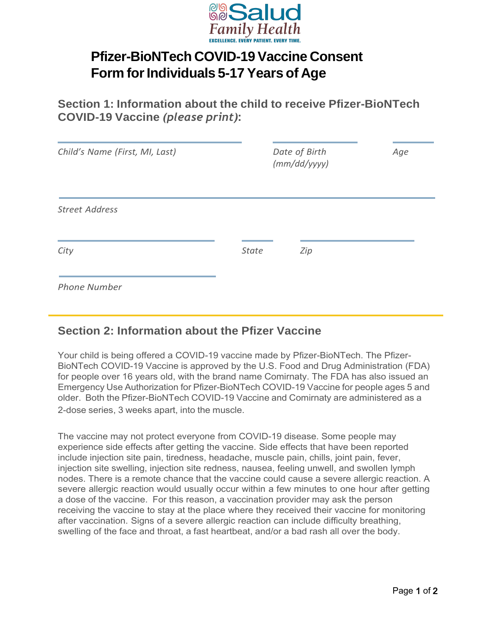

## **Pfizer-BioNTech COVID-19Vaccine Consent Form** for Individuals 5-17 Years of Age

**Section 1: Information about the child to receive Pfizer-BioNTech COVID-19 Vaccine** *(please print)*:

| Child's Name (First, MI, Last) |              | Date of Birth<br>(mm/dd/yyyy) | Age |
|--------------------------------|--------------|-------------------------------|-----|
| <b>Street Address</b>          |              |                               |     |
| City                           | <b>State</b> | Zip                           |     |
| <b>Phone Number</b>            |              |                               |     |

## **Section 2: Information about the Pfizer Vaccine**

Your child is being offered a COVID-19 vaccine made by Pfizer-BioNTech. The Pfizer-BioNTech COVID-19 Vaccine is approved by the U.S. Food and Drug Administration (FDA) for people over 16 years old, with the brand name Comirnaty. The FDA has also issued an Emergency Use Authorization for Pfizer-BioNTech COVID-19 Vaccine for people ages 5 and older. Both the Pfizer-BioNTech COVID-19 Vaccine and Comirnaty are administered as a 2-dose series, 3 weeks apart, into the muscle.

The vaccine may not protect everyone from COVID-19 disease. Some people may experience side effects after getting the vaccine. Side effects that have been reported include injection site pain, tiredness, headache, muscle pain, chills, joint pain, fever, injection site swelling, injection site redness, nausea, feeling unwell, and swollen lymph nodes. There is a remote chance that the vaccine could cause a severe allergic reaction. A severe allergic reaction would usually occur within a few minutes to one hour after getting a dose of the vaccine. For this reason, a vaccination provider may ask the person receiving the vaccine to stay at the place where they received their vaccine for monitoring after vaccination. Signs of a severe allergic reaction can include difficulty breathing, swelling of the face and throat, a fast heartbeat, and/or a bad rash all over the body.